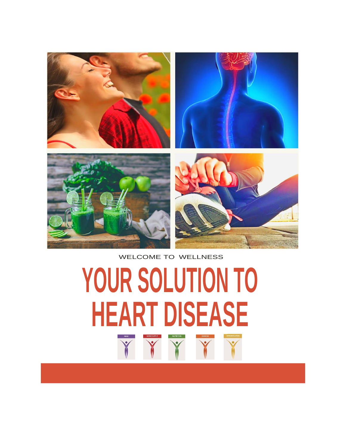

#### WELCOME TO WELLNESS

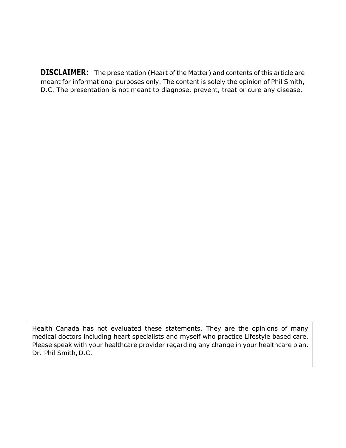**DISCLAIMER**: The presentation (Heart of the Matter) and contents of this article are meant for informational purposes only. The content is solely the opinion of Phil Smith, D.C. The presentation is not meant to diagnose, prevent, treat or cure any disease.

Health Canada has not evaluated these statements. They are the opinions of many medical doctors including heart specialists and myself who practice Lifestyle based care. Please speak with your healthcare provider regarding any change in your healthcare plan. Dr. Phil Smith, D.C.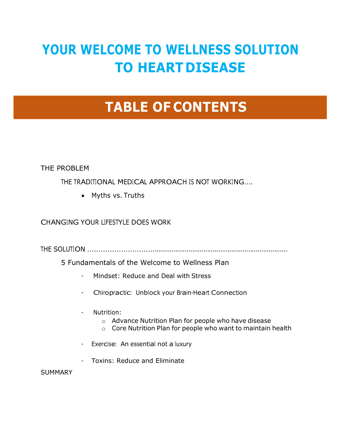# **YOUR WELCOME TO WELLNESS SOLUTION TO HEART DISEASE**

# **TABLE OF CONTENTS**

THE PROBLEM

THE TRADITIONAL MEDICAL APPROACH IS NOT WORKING….

• Myths vs. Truths

CHANGING YOUR LIFESTYLE DOES WORK

THE SOLUTION ………………………….......................................................................

5 Fundamentals of the Welcome to Wellness Plan

- Mindset: Reduce and Deal with Stress
- Chiropractic: Unblock your Brain-Heart Connection
- Nutrition:
	- o Advance Nutrition Plan for people who have disease
	- o Core Nutrition Plan for people who want to maintain health
- Exercise: An essential not a luxury
- Toxins: Reduce and Eliminate

SUMMARY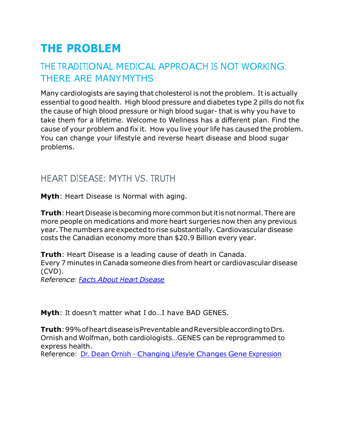# **THE PROBLEM**

# THE TRADITIONAL MEDICAL APPROACH IS NOT WORKING: THERE ARE MANYMYTHS

Many cardiologists are saying that cholesterol is not the problem. It is actually essential to good health. High blood pressure and diabetes type 2 pills do not fix the cause of high blood pressure or high blood sugar- that is why you have to take them for a lifetime. Welcome to Wellness has a different plan. Find the cause of your problem and fix it. How you live your life has caused the problem. You can change your lifestyle and reverse heart disease and blood sugar problems.

# HEART DISEASE: MYTH VS. TRUTH

**Myth**: Heart Disease is Normal with aging.

**Truth**: Heart Disease is becoming more common but it is not normal. There are more people on medications and more heart surgeries now then any previous year. The numbers are expected to rise substantially.Cardiovascular disease costs the Canadian economy more than \$20.9 Billion every year.

**Truth**: Heart Disease is a leading cause of death in Canada. Every 7 minutes in Canada someone dies from heart or cardiovascular disease (CVD).

*Reference: Facts About Heart [Disease](http://www.hricanada.org/about-heart-disease/facts-about-heart-disease)*

**Myth**: It doesn't matter what I do…I have BAD GENES.

**Truth**:99%ofheartdiseaseisPreventableandReversibleaccordingtoDrs. Ornish and Wolfman, both cardiologists…GENES can be reprogrammed to express health.

Reference: Dr. Dean Ornish - [Changing](https://www.edge.org/conversation/changing-lifestyle-changes-gene-expression) Lifesyle Changes Gene Expression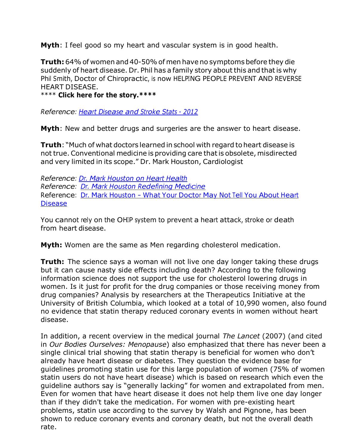**Myth**: I feel good so my heart and vascular system is in good health.

**Truth:** 64% of women and 40-50% of men have no symptoms before they die suddenly of heart disease. Dr. Phil has a family story about this and that is why Phil Smith, Doctor of Chiropractic, is now HELPING PEOPLE PREVENT AND REVERSE HEART DISEASE.

#### \*\*\*\* **Click here for the story.\*\*\*\***

*Reference: Heart [Disease](https://www.ncbi.nlm.nih.gov/pubmed/22179539) and Stroke Stats - <sup>2012</sup>*

**Myth**: New and better drugs and surgeries are the answer to heart disease.

**Truth**: "Much of what doctors learned in school with regard toheart disease is not true. Conventional medicine is providing care that is obsolete, misdirected and very limited in its scope." Dr. Mark Houston, Cardiologist

*Reference: Dr. Mark [Houston](https://www.youtube.com/watch?v=vKP47saxdzY) on Heart Health Reference: Dr. Mark Houston [Redefining](https://www.youtube.com/watch?v=qaoJ7ISxzZU) Medicine* Reference: Dr. Mark Houston - What Your [Doctor](https://www.youtube.com/watch?v=Yg-G3fx75hA) May Not Tell You About Heart [Disease](https://www.youtube.com/watch?v=Yg-G3fx75hA)

You cannot rely on the OHIP system to prevent a heart attack, stroke or death from heart disease.

**Myth:** Women are the same as Men regarding cholesterol medication.

**Truth:** The science says a woman will not live one day longer taking these drugs but it can cause nasty side effects including death? According to the following information science does not support the use for cholesterol lowering drugs in women. Is it just for profit for the drug companies or those receiving money from drug companies? Analysis by researchers at the Therapeutics Initiative at the University of British Columbia, which looked at a total of 10,990 women, also found no evidence that statin therapy reduced coronary events in women without heart disease.

In addition, a recent overview in the medical journal *The Lancet* (2007) (and cited in *Our Bodies Ourselves: Menopause*) also emphasized that there has never been a single clinical trial showing that statin therapy is beneficial for women who don't already have heart disease or diabetes. They question the evidence base for guidelines promoting statin use for this large population of women (75% of women statin users do not have heart disease) which is based on research which even the guideline authors say is "generally lacking" for women and extrapolated from men. Even for women that have heart disease it does not help them live one day longer than if they didn't take the medication. For women with pre-existing heart problems, statin use according to the survey by Walsh and Pignone, has been shown to reduce coronary events and coronary death, but not the overall death rate.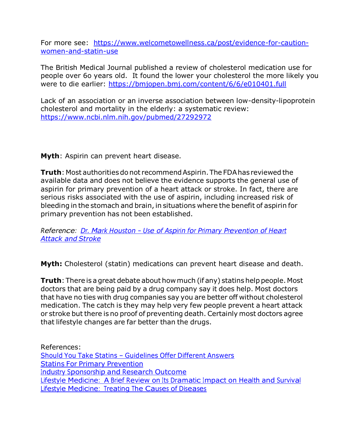For more see: [https://www.welcometowellness.ca/post/evidence-for-caution](https://www.welcometowellness.ca/post/evidence-for-caution-women-and-statin-use)[women-and-statin-use](https://www.welcometowellness.ca/post/evidence-for-caution-women-and-statin-use)

The British Medical Journal published a review of cholesterol medication use for people over 6o years old. It found the lower your cholesterol the more likely you were to die earlier:<https://bmjopen.bmj.com/content/6/6/e010401.full>

Lack of an association or an inverse association between low-density-lipoprotein cholesterol and mortality in the elderly: a systematic review: <https://www.ncbi.nlm.nih.gov/pubmed/27292972>

**Myth**: Aspirin can prevent heart disease.

**Truth**: Most authorities do not recommend Aspirin. The FDA has reviewed the available data and does not believe the evidence supports the general use of aspirin for primary prevention of a heart attack or stroke. In fact, there are serious risks associated with the use of aspirin, including increased risk of bleeding in the stomach and brain, in situations where the benefit of aspirin for primary prevention has not been established.

*Reference: Dr. Mark Houston – Use of Aspirin for Primary [Prevention](https://www.fda.gov/Drugs/ResourcesForYou/Consumers/ucm390574.htm) of Heart [Attack and](https://www.fda.gov/Drugs/ResourcesForYou/Consumers/ucm390574.htm) Stroke*

**Myth:** Cholesterol (statin) medications can prevent heart disease and death.

**Truth**: There is a great debate about how much (if any) statins help people. Most doctors that are being paid by a drug company say it does help. Most doctors that have no ties with drug companies say you are better off without cholesterol medication. The catch is they may help very few people prevent a heart attack or stroke but there is no proof of preventing death. Certainly most doctors agree that lifestyle changes are far better than the drugs.

References: Should You Take Statins – [Guidelines](https://www.cnn.com/2017/04/18/health/statins-guidelines-conflict-study/index.html) Offer Different Answers Statins For Primary [Prevention](https://jamanetwork.com/journals/jama/article-abstract/2584032) Industry [Sponsorship](https://www.cochrane.org/MR000033/METHOD_industry-sponsorship-and-research-outcome) and Research Outcome Lifestyle [Medicine:](https://www.ncbi.nlm.nih.gov/pmc/articles/PMC5638636/) A Brief Review on Its Dramatic Impact on Health and Survival Lifestyle [Medicine:](https://www.ncbi.nlm.nih.gov/pubmed/19943572) Treating The Causes of Diseases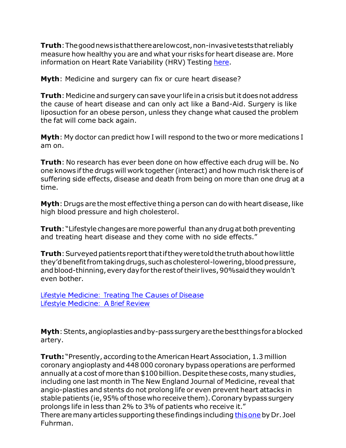**Truth**:Thegoodnewsisthattherearelowcost,non-invasiveteststhat reliably measure how healthy you are and what your risks for heart disease are. More information on Heart Rate Variability (HRV) Testing [here.](https://www.health.harvard.edu/blog/heart-rate-variability-new-way-track-well-2017112212789)

**Myth**: Medicine and surgery can fix or cure heart disease?

**Truth**: Medicine and surgery can save your life in a crisis but it does not address the cause of heart disease and can only act like a Band-Aid. Surgery is like liposuction for an obese person, unless they change what caused the problem the fat will come back again.

**Myth**: My doctor can predict how I will respond to the two or more medications I am on.

**Truth**: No research has ever been done on how effective each drug will be. No one knows ifthe drugs will work together (interact) and how much risk there is of suffering side effects, disease and death from being on more than one drug at a time.

**Myth**: Drugs are the most effective thing a person can do with heart disease, like high blood pressure and high cholesterol.

**Truth**: "Lifestyle changes are more powerful than any drug at both preventing and treating heart disease and they come with no side effects."

**Truth**: Surveyed patients report that if they were told the truth about how little they'd benefit from taking drugs, such as cholesterol-lowering, blood pressure, and blood-thinning, every day for the rest of their lives, 90% said they wouldn't even bother.

Lifestyle [Medicine:](https://docs.wixstatic.com/ugd/deeb8b_60b653ca61c44aad8b917341c3c6ce2c.pdf) Treating The Causes of Disease Lifestyle Medicine: A Brief Review

**Myth**: Stents, angioplasties and by-pass surgery are the best things for a blocked artery.

**Truth:** "Presently, according to the American Heart Association, 1.3 million coronary angioplasty and 448 000 coronary bypass operations are performed annually at a cost of more than \$100 billion. Despite these costs, many studies, including one last month in The New England Journal of Medicine, reveal that angio-plasties and stents do not prolong life or even prevent heart attacks in stable patients (ie,95%ofthose who receive them).Coronary bypass surgery prolongs life in less than 2% to 3% of patients who receive it."

There are many articles supporting these findings including this one by Dr. Joel Fuhrman.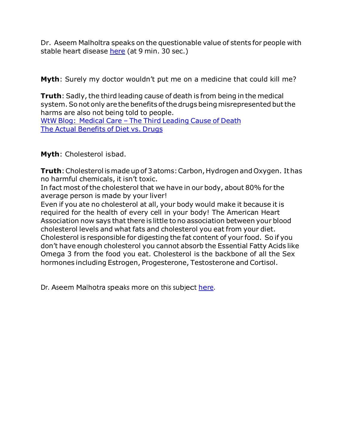Dr. Aseem Malholtra speaks on the questionable value of stents for people with stable heart disease [here](https://youtu.be/jcnd3usdNxo) (at 9 min. 30 sec.)

**Myth**: Surely my doctor wouldn't put me on a medicine that could kill me?

**Truth**: Sadly, the third leading cause of death is from being in the medical system. So not only are the benefits of the drugs being misrepresented but the harms are also not being told to people.

WtW Blog: Medical Care – The Third [Leading](https://www.welcometowellness.ca/blog-1/medical-care-the-third-leading-cause-of-death) Cause of Death The Actual [Benefits](https://nutritionfacts.org/video/the-actual-benefit-of-diet-vs-drugs/) of Diet vs. Drugs

**Myth**: Cholesterol isbad.

**Truth**: Cholesterol is made up of 3 atoms: Carbon, Hydrogen and Oxygen. It has no harmful chemicals, it isn't toxic.

In fact most of the cholesterol that we have in our body, about 80% for the average person is made by your liver!

Even if you ate no cholesterol at all, your body would make it because it is required for the health of every cell in your body! The American Heart Association now says that there is little tono association between your blood cholesterol levels and what fats and cholesterol you eat from your diet. Cholesterol is responsible for digesting the fat content of your food. So if you don't have enough cholesterol you cannot absorb the Essential Fatty Acids like Omega 3 from the food you eat. Cholesterol is the backbone of all the Sex hormones including Estrogen, Progesterone, Testosterone and Cortisol.

Dr. Aseem Malhotra speaks more on this subject [here.](https://www.youtube.com/watch?v=Vf5MwNXq0SIVf5MwNXq0SI)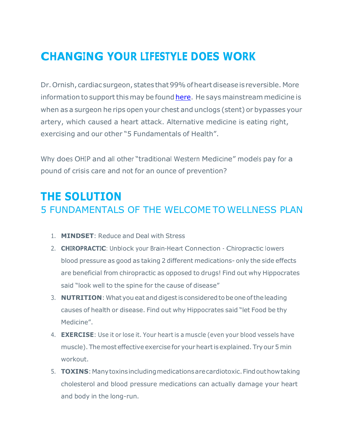# **CHANGING YOUR LIFESTYLE DOES WORK**

Dr.Ornish, cardiac surgeon, states that99%ofheartdiseaseisreversible. More information to support this may be found [here.](https://www.sentara.com/medicalservices/services/heart-and-vascular/services/ornish-reversal-program/evidence.aspx) He says mainstream medicine is when as a surgeon he rips open your chest and unclogs (stent) or bypasses your artery, which caused a heart attack. Alternative medicine is eating right, exercising and our other "5 Fundamentals of Health".

Why does OHIP and all other "traditional Western Medicine" models pay for a pound of crisis care and not for an ounce of prevention?

# **THE SOLUTION** 5 FUNDAMENTALS OF THE WELCOME TO WELLNESS PLAN

- 1. **MINDSET**: Reduce and Deal with Stress
- 2. **CHIROPRACTIC**: Unblock your Brain-Heart Connection Chiropractic lowers blood pressure as good as taking 2 different medications- only the side effects are beneficial from chiropractic as opposed to drugs! Find out why Hippocrates said "look well to the spine for the cause of disease"
- 3. **NUTRITION**: What you eat and digest is considered to be one of the leading causes of health or disease. Find out why Hippocrates said "let Food be thy Medicine".
- 4. **EXERCISE**: Use it or lose it. Your heart is a muscle (even your blood vessels have muscle). The most effective exercise for your heart is explained. Try our 5 min workout.
- 5. **TOXINS**: Many toxins including medications are cardiotoxic. Find out how taking cholesterol and blood pressure medications can actually damage your heart and body in the long-run.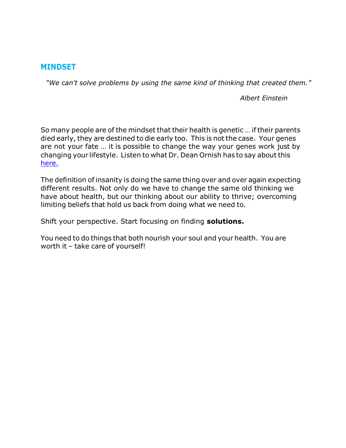#### **MINDSET**

*"We can't solve problems by using the same kind of thinking that created them."*

*Albert Einstein*

So many people are of the mindset that their health is genetic ... if their parents died early, they are destined to die early too. This is not the case. Your genes are not your fate … it is possible to change the way your genes work just by changing your lifestyle. Listen to what Dr. Dean Ornish has to say about this [here.](https://www.youtube.com/watch?v=XI_fbkTgJfI)

The definition of insanity is doing the same thing over and over again expecting different results. Not only do we have to change the same old thinking we have about health, but our thinking about our ability to thrive; overcoming limiting beliefs that hold us back from doing what we need to.

Shift your perspective. Start focusing on finding **solutions.**

You need to do things that both nourish your soul and your health. You are worth it – take care of yourself!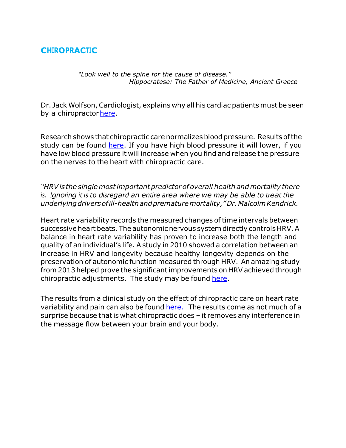### **CHIROPRACTIC**

*"Look well to the spine for the cause of disease." Hippocratese: The Father of Medicine, Ancient Greece*

Dr. Jack Wolfson,Cardiologist, explains why all his cardiac patients must be seen by a chiropractor here.

Research shows that chiropractic care normalizes blood pressure. Results ofthe study can be found [here.](https://www.ncbi.nlm.nih.gov/pubmed/17252032) If you have high blood pressure it will lower, if you have low blood pressure it will increase when you find and release the pressure on the nerves to the heart with chiropractic care.

*"HRVis the singlemostimportantpredictor of overall health andmortality there is. Ignoring it is to disregard an entire area where we may be able to treat the underlyingdriversofill-healthandprematuremortality,"Dr.MalcolmKendrick.*

Heart rate variability records the measured changes of time intervals between successive heart beats. The autonomic nervous system directly controls HRV. A balance in heart rate variability has proven to increase both the length and quality of an individual's life. A study in 2010 showed a correlation between an increase in HRV and longevity because healthy longevity depends on the preservation of autonomic function measured through HRV. An amazing study from 2013 helped prove the significantimprovements on HRV achieved through chiropractic adjustments. The study may be found [here.](https://www.ncbi.nlm.nih.gov/pmc/articles/PMC3576914/)

The results from a clinical study on the effect of chiropractic care on heart rate variability and pain can also be found [here.](https://www.ncbi.nlm.nih.gov/pubmed/16690380) The results come as not much of a surprise because that is what chiropractic does – it removes any interference in the message flow between your brain and your body.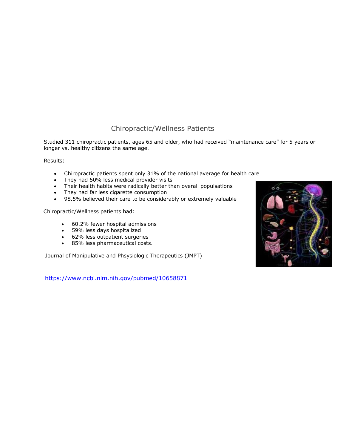#### Chiropractic/Wellness Patients

Studied 311 chiropractic patients, ages 65 and older, who had received "maintenance care" for 5 years or longer vs. healthy citizens the same age.

Results:

- Chiropractic patients spent only 31% of the national average for health care
- They had 50% less medical provider visits
- Their health habits were radically better than overall populsations
- They had far less cigarette consumption
- 98.5% believed their care to be considerably or extremely valuable

Chiropractic/Wellness patients had:

- 60.2% fewer hospital admissions
- 59% less days hospitalized
- 62% less outpatient surgeries
- 85% less pharmaceutical costs.

Journal of Manipulative and Phsysiologic Therapeutics (JMPT)

<https://www.ncbi.nlm.nih.gov/pubmed/10658871>

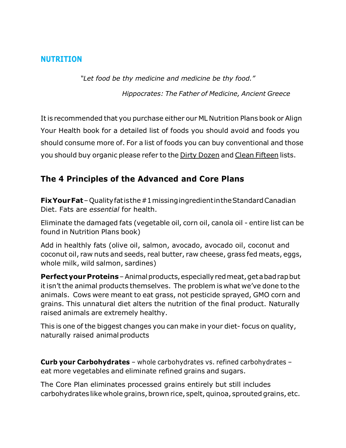#### **NUTRITION**

*"Let food be thy medicine and medicine be thy food."* 

*Hippocrates: The Father of Medicine, Ancient Greece*

It is recommended that you purchase either our ML Nutrition Plans book or Align Your Health book for a detailed list of foods you should avoid and foods you should consume more of. For a list of foods you can buy conventional and those you should buy organic please refer to the Dirty [Dozen](https://docs.wixstatic.com/ugd/deeb8b_866244a36da64bf3b57a0fa095a27986.pdf) and Clean [Fifteen](https://docs.wixstatic.com/ugd/deeb8b_d351b32d88044a92a705cf6a62af38d2.pdf) lists.

## **The 4 Principles of the Advanced and Core Plans**

**FixYourFat**–Qualityfatisthe#1missingingredientintheStandardCanadian Diet. Fats are *essential* for health.

Eliminate the damaged fats (vegetable oil, corn oil, canola oil - entire list can be found in Nutrition Plans book)

Add in healthly fats (olive oil, salmon, avocado, avocado oil, coconut and coconut oil, raw nuts and seeds, real butter, raw cheese, grass fed meats, eggs, whole milk, wild salmon, sardines)

**Perfect your Proteins** - Animal products, especially red meat, get a bad rap but itisn't the animal products themselves. The problem is what we've done to the animals. Cows were meant to eat grass, not pesticide sprayed, GMO corn and grains. This unnatural diet alters the nutrition of the final product. Naturally raised animals are extremely healthy.

This is one of the biggest changes you can make in your diet- focus on quality, naturally raised animal products

**Curb your Carbohydrates** – whole carbohydrates vs. refined carbohydrates – eat more vegetables and eliminate refined grains and sugars.

The Core Plan eliminates processed grains entirely but still includes carbohydrates like whole grains, brown rice, spelt, quinoa, sprouted grains, etc.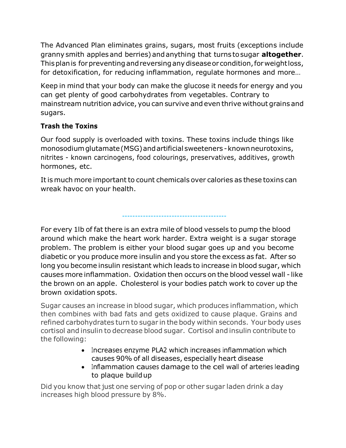The Advanced Plan eliminates grains, sugars, most fruits (exceptions include granny smith applesand berries) andanything that turns tosugar **altogether**. Thisplanis forpreventingandreversinganydiseaseor condition,forweightloss, for detoxification, for reducing inflammation, regulate hormones and more…

Keep in mind that your body can make the glucose it needs for energy and you can get plenty of good carbohydrates from vegetables. Contrary to mainstream nutrition advice, you can survive and even thrive without grains and sugars.

#### **Trash the Toxins**

Our food supply is overloaded with toxins. These toxins include things like monosodiumglutamate(MSG)andartificial sweeteners -knownneurotoxins, nitrites - known carcinogens, food colourings, preservatives, additives, growth hormones, etc.

It is much more important to count chemicals over calories as these toxins can wreak havoc on your health.

For every 1lb of fat there is an extra mile of blood vessels to pump the blood around which make the heart work harder. Extra weight is a sugar storage problem. The problem is either your blood sugar goes up and you become diabetic or you produce more insulin and you store the excess as fat. After so long you become insulin resistant which leads to increase in blood sugar, which causes more inflammation. Oxidation then occurs on the blood vessel wall - like the brown on an apple. Cholesterol is your bodies patch work to cover up the brown oxidation spots.

----------------------------------------

Sugar causes an increase in blood sugar, which produces inflammation, which then combines with bad fats and gets oxidized to cause plaque. Grains and refined carbohydrates turn to sugar in the body within seconds. Your body uses cortisol and insulin to decrease blood sugar. Cortisol and insulin contribute to the following:

- Increases enzyme PLA2 which increases inflammation which causes 90% of all diseases, especially heart disease
- Inflammation causes damage to the cell wall of arteries leading to plaque buildup

Did you know that just one serving of pop or other sugar laden drink a day increases high blood pressure by 8%.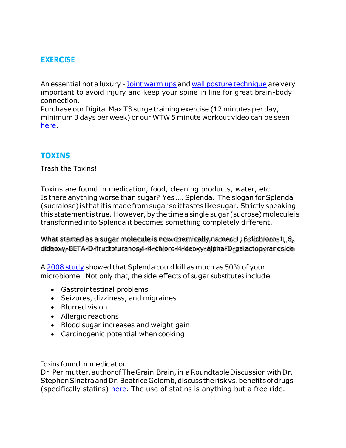### **EXERCISE**

An essential not a luxury - Joint [warm](https://youtu.be/Ckkb3Nj4VhA) ups and wall posture [technique](https://youtu.be/hmAYf30xZFY) are very important to avoid injury and keep your spine in line for great brain-body connection.

Purchase our Digital Max T3 surge training exercise (12 minutes per day, minimum 3 days per week) or our WTW 5 minute workout video can be seen [here.](https://youtu.be/_LMPcPyU8lk)

#### **TOXINS**

Trash the Toxins!!

Toxins are found in medication, food, cleaning products, water, etc. Is there anything worse than sugar? Yes …. Splenda. The slogan for Splenda (sucralose) isthatitismadefrom sugar soittasteslike sugar. Strictly speaking this statement is true. However, by the time a single sugar (sucrose) molecule is transformed into Splenda it becomes something completely different.

What started as a sugar molecule is now chemically named 1, 6 dichloro-1, 6, dideoxy-BETA-D-fructofuranosyl-4-chloro-4-deoxy-alpha-D-galactopyranoside

A 2008 [study](https://articles.mercola.com/sites/articles/archive/2013/12/18/sucralose-side-effects.aspx) showed that Splenda could kill as much as 50% of your microbiome. Not only that, the side effects of sugar substitutes include:

- Gastrointestinal problems
- Seizures, dizziness, and migraines
- Blurred vision
- Allergic reactions
- Blood sugar increases and weight gain
- Carcinogenic potential when cooking

Toxins found in medication:

Dr. Perlmutter, author of The Grain Brain, in a Roundtable Discussion with Dr. Stephen Sinatra and Dr. Beatrice Golomb, discuss the risk vs. benefits of drugs (specifically statins) [here.](https://www.drperlmutter.com/wp-content/uploads/2014/02/Appropriate-Clinical-Use-of-Statins.pdf) The use of statins is anything but a free ride.